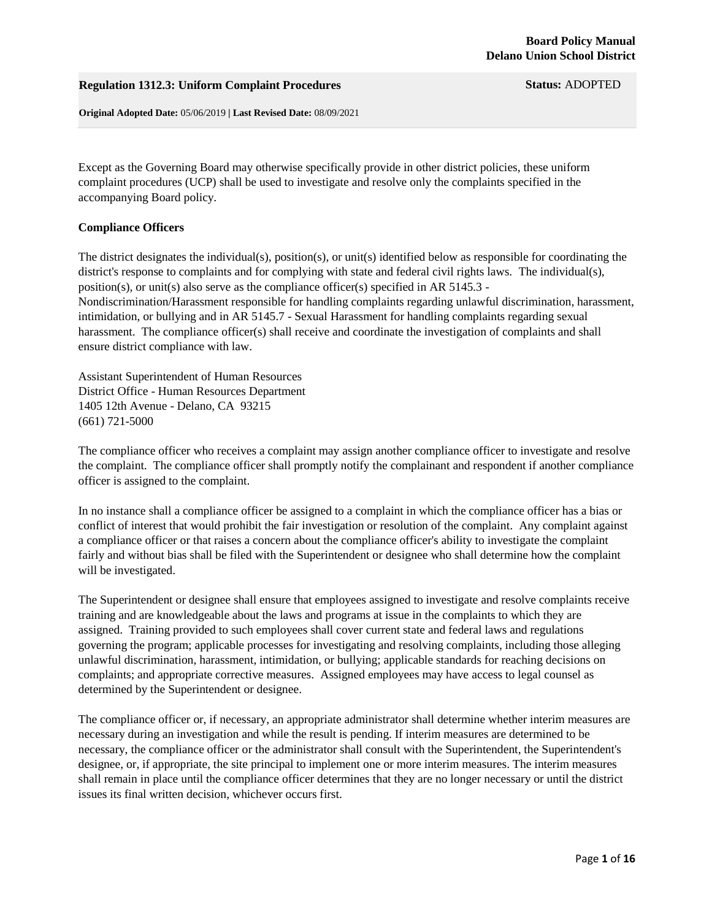## **Regulation 1312.3: Uniform Complaint Procedures Status:** ADOPTED

**Original Adopted Date:** 05/06/2019 **| Last Revised Date:** 08/09/2021

Except as the Governing Board may otherwise specifically provide in other district policies, these uniform complaint procedures (UCP) shall be used to investigate and resolve only the complaints specified in the accompanying Board policy.

#### **Compliance Officers**

The district designates the individual(s), position(s), or unit(s) identified below as responsible for coordinating the district's response to complaints and for complying with state and federal civil rights laws. The individual(s), position(s), or unit(s) also serve as the compliance officer(s) specified in AR 5145.3 - Nondiscrimination/Harassment responsible for handling complaints regarding unlawful discrimination, harassment, intimidation, or bullying and in AR 5145.7 - Sexual Harassment for handling complaints regarding sexual harassment. The compliance officer(s) shall receive and coordinate the investigation of complaints and shall ensure district compliance with law.

Assistant Superintendent of Human Resources District Office - Human Resources Department 1405 12th Avenue - Delano, CA 93215 (661) 721-5000

The compliance officer who receives a complaint may assign another compliance officer to investigate and resolve the complaint. The compliance officer shall promptly notify the complainant and respondent if another compliance officer is assigned to the complaint.

In no instance shall a compliance officer be assigned to a complaint in which the compliance officer has a bias or conflict of interest that would prohibit the fair investigation or resolution of the complaint. Any complaint against a compliance officer or that raises a concern about the compliance officer's ability to investigate the complaint fairly and without bias shall be filed with the Superintendent or designee who shall determine how the complaint will be investigated.

The Superintendent or designee shall ensure that employees assigned to investigate and resolve complaints receive training and are knowledgeable about the laws and programs at issue in the complaints to which they are assigned. Training provided to such employees shall cover current state and federal laws and regulations governing the program; applicable processes for investigating and resolving complaints, including those alleging unlawful discrimination, harassment, intimidation, or bullying; applicable standards for reaching decisions on complaints; and appropriate corrective measures. Assigned employees may have access to legal counsel as determined by the Superintendent or designee.

The compliance officer or, if necessary, an appropriate administrator shall determine whether interim measures are necessary during an investigation and while the result is pending. If interim measures are determined to be necessary, the compliance officer or the administrator shall consult with the Superintendent, the Superintendent's designee, or, if appropriate, the site principal to implement one or more interim measures. The interim measures shall remain in place until the compliance officer determines that they are no longer necessary or until the district issues its final written decision, whichever occurs first.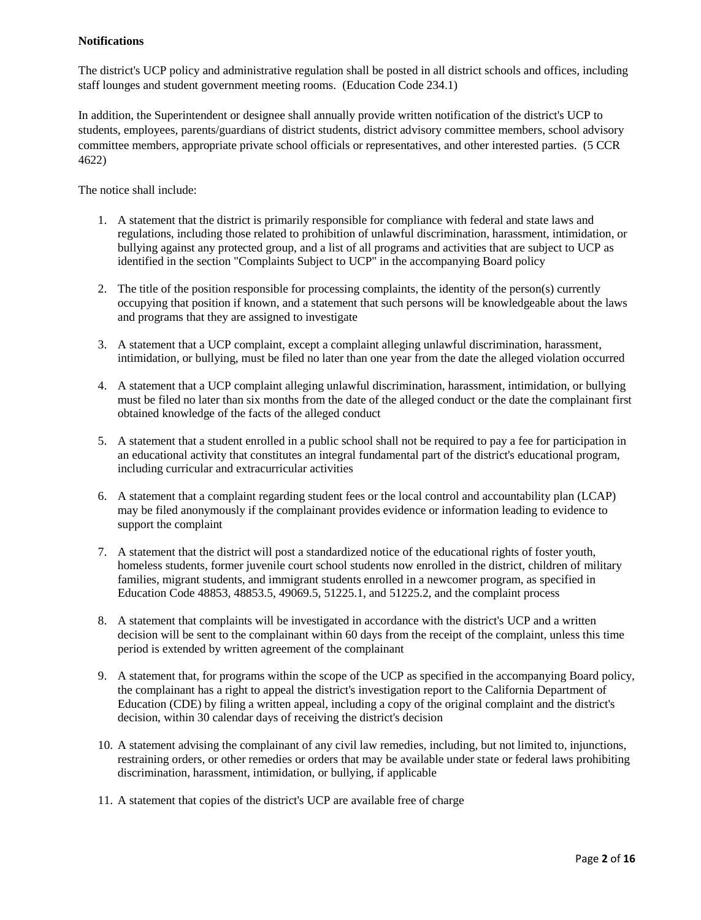## **Notifications**

The district's UCP policy and administrative regulation shall be posted in all district schools and offices, including staff lounges and student government meeting rooms. (Education Code 234.1)

In addition, the Superintendent or designee shall annually provide written notification of the district's UCP to students, employees, parents/guardians of district students, district advisory committee members, school advisory committee members, appropriate private school officials or representatives, and other interested parties. (5 CCR 4622)

The notice shall include:

- 1. A statement that the district is primarily responsible for compliance with federal and state laws and regulations, including those related to prohibition of unlawful discrimination, harassment, intimidation, or bullying against any protected group, and a list of all programs and activities that are subject to UCP as identified in the section "Complaints Subject to UCP" in the accompanying Board policy
- 2. The title of the position responsible for processing complaints, the identity of the person(s) currently occupying that position if known, and a statement that such persons will be knowledgeable about the laws and programs that they are assigned to investigate
- 3. A statement that a UCP complaint, except a complaint alleging unlawful discrimination, harassment, intimidation, or bullying, must be filed no later than one year from the date the alleged violation occurred
- 4. A statement that a UCP complaint alleging unlawful discrimination, harassment, intimidation, or bullying must be filed no later than six months from the date of the alleged conduct or the date the complainant first obtained knowledge of the facts of the alleged conduct
- 5. A statement that a student enrolled in a public school shall not be required to pay a fee for participation in an educational activity that constitutes an integral fundamental part of the district's educational program, including curricular and extracurricular activities
- 6. A statement that a complaint regarding student fees or the local control and accountability plan (LCAP) may be filed anonymously if the complainant provides evidence or information leading to evidence to support the complaint
- 7. A statement that the district will post a standardized notice of the educational rights of foster youth, homeless students, former juvenile court school students now enrolled in the district, children of military families, migrant students, and immigrant students enrolled in a newcomer program, as specified in Education Code 48853, 48853.5, 49069.5, 51225.1, and 51225.2, and the complaint process
- 8. A statement that complaints will be investigated in accordance with the district's UCP and a written decision will be sent to the complainant within 60 days from the receipt of the complaint, unless this time period is extended by written agreement of the complainant
- 9. A statement that, for programs within the scope of the UCP as specified in the accompanying Board policy, the complainant has a right to appeal the district's investigation report to the California Department of Education (CDE) by filing a written appeal, including a copy of the original complaint and the district's decision, within 30 calendar days of receiving the district's decision
- 10. A statement advising the complainant of any civil law remedies, including, but not limited to, injunctions, restraining orders, or other remedies or orders that may be available under state or federal laws prohibiting discrimination, harassment, intimidation, or bullying, if applicable
- 11. A statement that copies of the district's UCP are available free of charge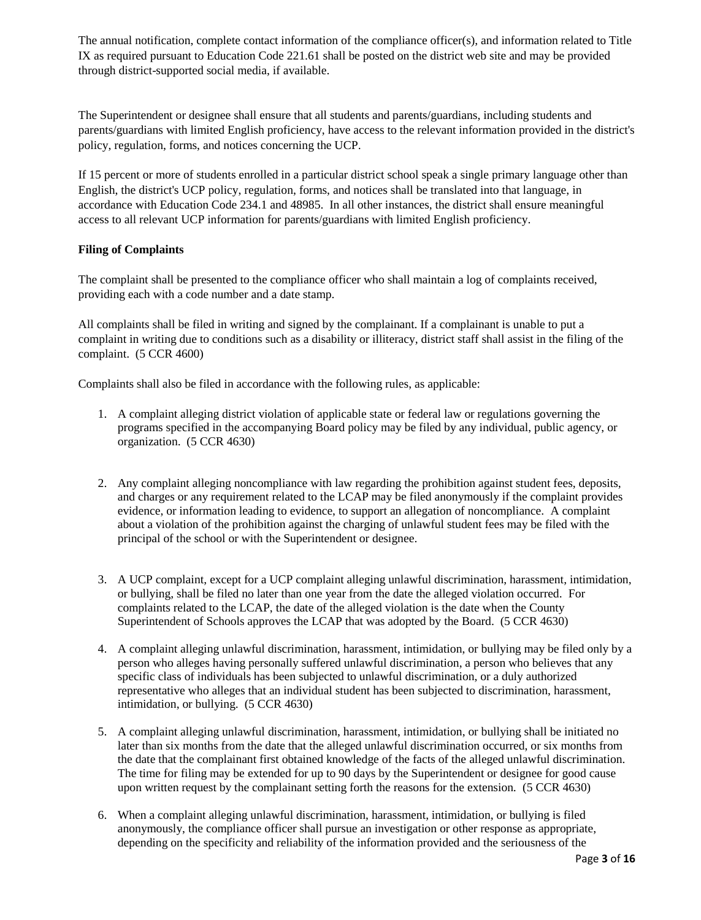The annual notification, complete contact information of the compliance officer(s), and information related to Title IX as required pursuant to Education Code 221.61 shall be posted on the district web site and may be provided through district-supported social media, if available.

The Superintendent or designee shall ensure that all students and parents/guardians, including students and parents/guardians with limited English proficiency, have access to the relevant information provided in the district's policy, regulation, forms, and notices concerning the UCP.

If 15 percent or more of students enrolled in a particular district school speak a single primary language other than English, the district's UCP policy, regulation, forms, and notices shall be translated into that language, in accordance with Education Code 234.1 and 48985. In all other instances, the district shall ensure meaningful access to all relevant UCP information for parents/guardians with limited English proficiency.

# **Filing of Complaints**

The complaint shall be presented to the compliance officer who shall maintain a log of complaints received, providing each with a code number and a date stamp.

All complaints shall be filed in writing and signed by the complainant. If a complainant is unable to put a complaint in writing due to conditions such as a disability or illiteracy, district staff shall assist in the filing of the complaint. (5 CCR 4600)

Complaints shall also be filed in accordance with the following rules, as applicable:

- 1. A complaint alleging district violation of applicable state or federal law or regulations governing the programs specified in the accompanying Board policy may be filed by any individual, public agency, or organization. (5 CCR 4630)
- 2. Any complaint alleging noncompliance with law regarding the prohibition against student fees, deposits, and charges or any requirement related to the LCAP may be filed anonymously if the complaint provides evidence, or information leading to evidence, to support an allegation of noncompliance. A complaint about a violation of the prohibition against the charging of unlawful student fees may be filed with the principal of the school or with the Superintendent or designee.
- 3. A UCP complaint, except for a UCP complaint alleging unlawful discrimination, harassment, intimidation, or bullying, shall be filed no later than one year from the date the alleged violation occurred. For complaints related to the LCAP, the date of the alleged violation is the date when the County Superintendent of Schools approves the LCAP that was adopted by the Board. (5 CCR 4630)
- 4. A complaint alleging unlawful discrimination, harassment, intimidation, or bullying may be filed only by a person who alleges having personally suffered unlawful discrimination, a person who believes that any specific class of individuals has been subjected to unlawful discrimination, or a duly authorized representative who alleges that an individual student has been subjected to discrimination, harassment, intimidation, or bullying. (5 CCR 4630)
- 5. A complaint alleging unlawful discrimination, harassment, intimidation, or bullying shall be initiated no later than six months from the date that the alleged unlawful discrimination occurred, or six months from the date that the complainant first obtained knowledge of the facts of the alleged unlawful discrimination. The time for filing may be extended for up to 90 days by the Superintendent or designee for good cause upon written request by the complainant setting forth the reasons for the extension. (5 CCR 4630)
- 6. When a complaint alleging unlawful discrimination, harassment, intimidation, or bullying is filed anonymously, the compliance officer shall pursue an investigation or other response as appropriate, depending on the specificity and reliability of the information provided and the seriousness of the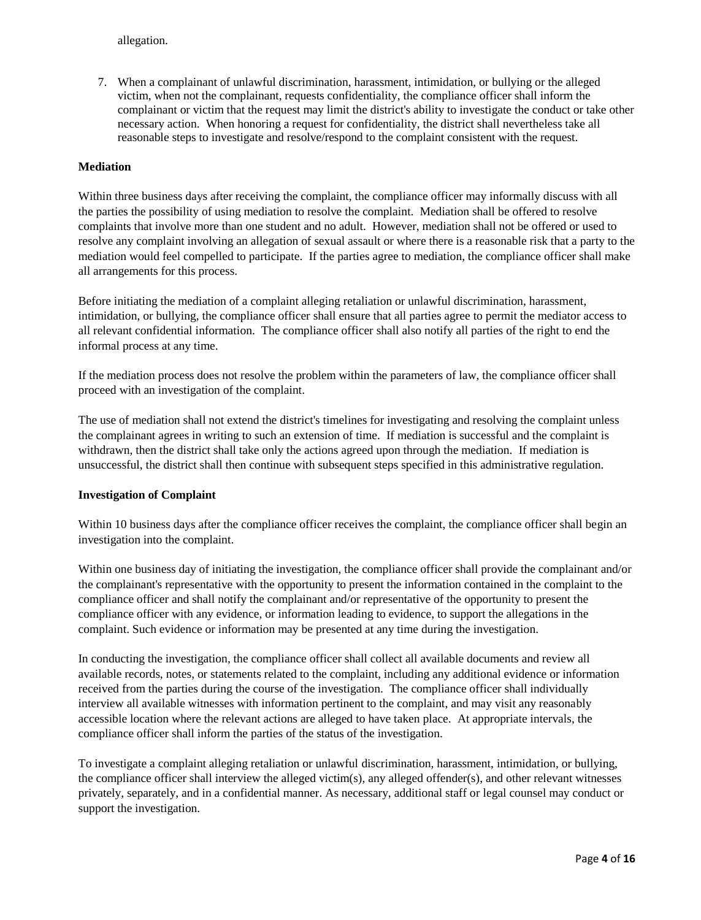allegation.

7. When a complainant of unlawful discrimination, harassment, intimidation, or bullying or the alleged victim, when not the complainant, requests confidentiality, the compliance officer shall inform the complainant or victim that the request may limit the district's ability to investigate the conduct or take other necessary action. When honoring a request for confidentiality, the district shall nevertheless take all reasonable steps to investigate and resolve/respond to the complaint consistent with the request.

## **Mediation**

Within three business days after receiving the complaint, the compliance officer may informally discuss with all the parties the possibility of using mediation to resolve the complaint. Mediation shall be offered to resolve complaints that involve more than one student and no adult. However, mediation shall not be offered or used to resolve any complaint involving an allegation of sexual assault or where there is a reasonable risk that a party to the mediation would feel compelled to participate. If the parties agree to mediation, the compliance officer shall make all arrangements for this process.

Before initiating the mediation of a complaint alleging retaliation or unlawful discrimination, harassment, intimidation, or bullying, the compliance officer shall ensure that all parties agree to permit the mediator access to all relevant confidential information. The compliance officer shall also notify all parties of the right to end the informal process at any time.

If the mediation process does not resolve the problem within the parameters of law, the compliance officer shall proceed with an investigation of the complaint.

The use of mediation shall not extend the district's timelines for investigating and resolving the complaint unless the complainant agrees in writing to such an extension of time. If mediation is successful and the complaint is withdrawn, then the district shall take only the actions agreed upon through the mediation. If mediation is unsuccessful, the district shall then continue with subsequent steps specified in this administrative regulation.

#### **Investigation of Complaint**

Within 10 business days after the compliance officer receives the complaint, the compliance officer shall begin an investigation into the complaint.

Within one business day of initiating the investigation, the compliance officer shall provide the complainant and/or the complainant's representative with the opportunity to present the information contained in the complaint to the compliance officer and shall notify the complainant and/or representative of the opportunity to present the compliance officer with any evidence, or information leading to evidence, to support the allegations in the complaint. Such evidence or information may be presented at any time during the investigation.

In conducting the investigation, the compliance officer shall collect all available documents and review all available records, notes, or statements related to the complaint, including any additional evidence or information received from the parties during the course of the investigation. The compliance officer shall individually interview all available witnesses with information pertinent to the complaint, and may visit any reasonably accessible location where the relevant actions are alleged to have taken place. At appropriate intervals, the compliance officer shall inform the parties of the status of the investigation.

To investigate a complaint alleging retaliation or unlawful discrimination, harassment, intimidation, or bullying, the compliance officer shall interview the alleged victim(s), any alleged offender(s), and other relevant witnesses privately, separately, and in a confidential manner. As necessary, additional staff or legal counsel may conduct or support the investigation.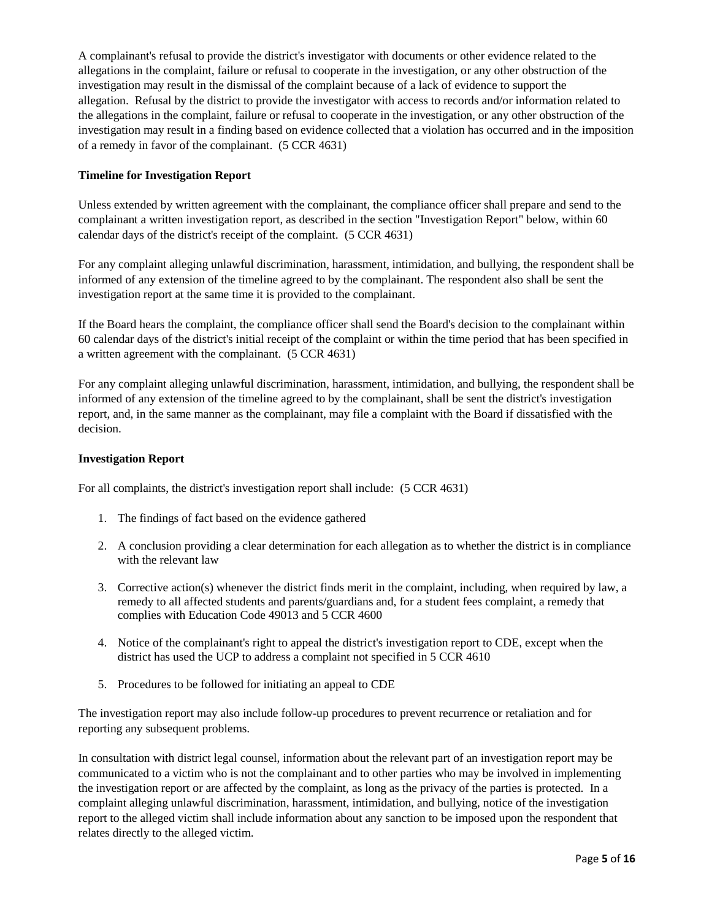A complainant's refusal to provide the district's investigator with documents or other evidence related to the allegations in the complaint, failure or refusal to cooperate in the investigation, or any other obstruction of the investigation may result in the dismissal of the complaint because of a lack of evidence to support the allegation. Refusal by the district to provide the investigator with access to records and/or information related to the allegations in the complaint, failure or refusal to cooperate in the investigation, or any other obstruction of the investigation may result in a finding based on evidence collected that a violation has occurred and in the imposition of a remedy in favor of the complainant. (5 CCR 4631)

## **Timeline for Investigation Report**

Unless extended by written agreement with the complainant, the compliance officer shall prepare and send to the complainant a written investigation report, as described in the section "Investigation Report" below, within 60 calendar days of the district's receipt of the complaint. (5 CCR 4631)

For any complaint alleging unlawful discrimination, harassment, intimidation, and bullying, the respondent shall be informed of any extension of the timeline agreed to by the complainant. The respondent also shall be sent the investigation report at the same time it is provided to the complainant.

If the Board hears the complaint, the compliance officer shall send the Board's decision to the complainant within 60 calendar days of the district's initial receipt of the complaint or within the time period that has been specified in a written agreement with the complainant. (5 CCR 4631)

For any complaint alleging unlawful discrimination, harassment, intimidation, and bullying, the respondent shall be informed of any extension of the timeline agreed to by the complainant, shall be sent the district's investigation report, and, in the same manner as the complainant, may file a complaint with the Board if dissatisfied with the decision.

## **Investigation Report**

For all complaints, the district's investigation report shall include: (5 CCR 4631)

- 1. The findings of fact based on the evidence gathered
- 2. A conclusion providing a clear determination for each allegation as to whether the district is in compliance with the relevant law
- 3. Corrective action(s) whenever the district finds merit in the complaint, including, when required by law, a remedy to all affected students and parents/guardians and, for a student fees complaint, a remedy that complies with Education Code 49013 and 5 CCR 4600
- 4. Notice of the complainant's right to appeal the district's investigation report to CDE, except when the district has used the UCP to address a complaint not specified in 5 CCR 4610
- 5. Procedures to be followed for initiating an appeal to CDE

The investigation report may also include follow-up procedures to prevent recurrence or retaliation and for reporting any subsequent problems.

In consultation with district legal counsel, information about the relevant part of an investigation report may be communicated to a victim who is not the complainant and to other parties who may be involved in implementing the investigation report or are affected by the complaint, as long as the privacy of the parties is protected. In a complaint alleging unlawful discrimination, harassment, intimidation, and bullying, notice of the investigation report to the alleged victim shall include information about any sanction to be imposed upon the respondent that relates directly to the alleged victim.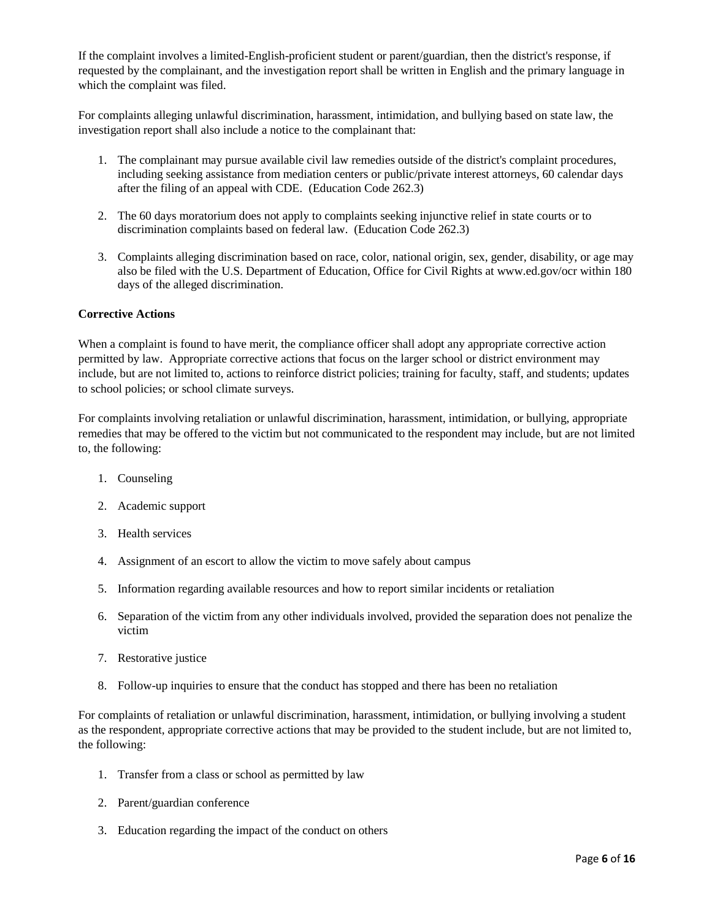If the complaint involves a limited-English-proficient student or parent/guardian, then the district's response, if requested by the complainant, and the investigation report shall be written in English and the primary language in which the complaint was filed.

For complaints alleging unlawful discrimination, harassment, intimidation, and bullying based on state law, the investigation report shall also include a notice to the complainant that:

- 1. The complainant may pursue available civil law remedies outside of the district's complaint procedures, including seeking assistance from mediation centers or public/private interest attorneys, 60 calendar days after the filing of an appeal with CDE. (Education Code 262.3)
- 2. The 60 days moratorium does not apply to complaints seeking injunctive relief in state courts or to discrimination complaints based on federal law. (Education Code 262.3)
- 3. Complaints alleging discrimination based on race, color, national origin, sex, gender, disability, or age may also be filed with the U.S. Department of Education, Office for Civil Rights at www.ed.gov/ocr within 180 days of the alleged discrimination.

#### **Corrective Actions**

When a complaint is found to have merit, the compliance officer shall adopt any appropriate corrective action permitted by law. Appropriate corrective actions that focus on the larger school or district environment may include, but are not limited to, actions to reinforce district policies; training for faculty, staff, and students; updates to school policies; or school climate surveys.

For complaints involving retaliation or unlawful discrimination, harassment, intimidation, or bullying, appropriate remedies that may be offered to the victim but not communicated to the respondent may include, but are not limited to, the following:

- 1. Counseling
- 2. Academic support
- 3. Health services
- 4. Assignment of an escort to allow the victim to move safely about campus
- 5. Information regarding available resources and how to report similar incidents or retaliation
- 6. Separation of the victim from any other individuals involved, provided the separation does not penalize the victim
- 7. Restorative justice
- 8. Follow-up inquiries to ensure that the conduct has stopped and there has been no retaliation

For complaints of retaliation or unlawful discrimination, harassment, intimidation, or bullying involving a student as the respondent, appropriate corrective actions that may be provided to the student include, but are not limited to, the following:

- 1. Transfer from a class or school as permitted by law
- 2. Parent/guardian conference
- 3. Education regarding the impact of the conduct on others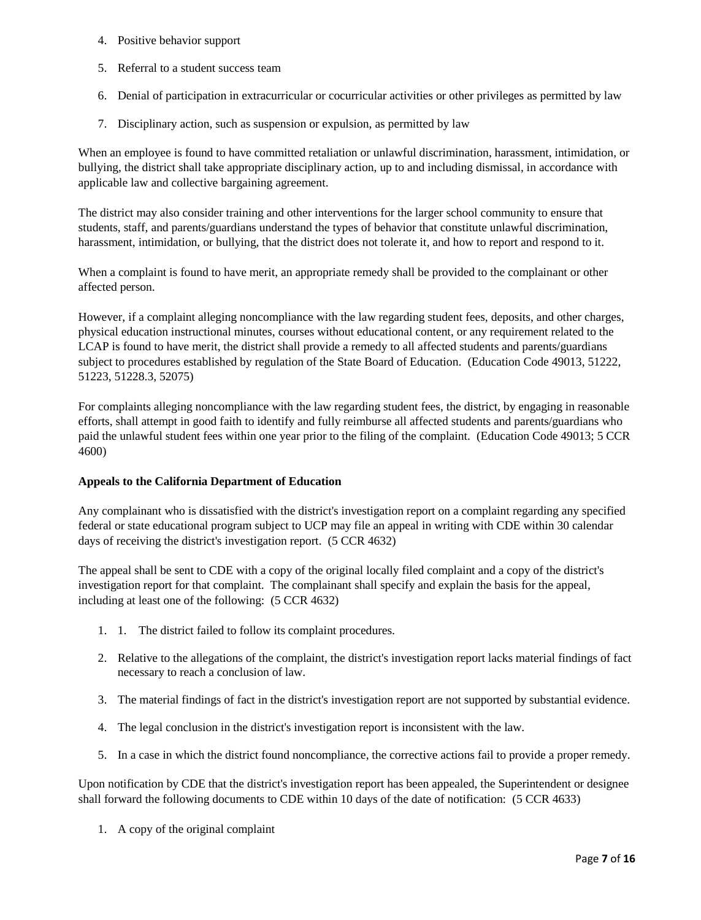- 4. Positive behavior support
- 5. Referral to a student success team
- 6. Denial of participation in extracurricular or cocurricular activities or other privileges as permitted by law
- 7. Disciplinary action, such as suspension or expulsion, as permitted by law

When an employee is found to have committed retaliation or unlawful discrimination, harassment, intimidation, or bullying, the district shall take appropriate disciplinary action, up to and including dismissal, in accordance with applicable law and collective bargaining agreement.

The district may also consider training and other interventions for the larger school community to ensure that students, staff, and parents/guardians understand the types of behavior that constitute unlawful discrimination, harassment, intimidation, or bullying, that the district does not tolerate it, and how to report and respond to it.

When a complaint is found to have merit, an appropriate remedy shall be provided to the complainant or other affected person.

However, if a complaint alleging noncompliance with the law regarding student fees, deposits, and other charges, physical education instructional minutes, courses without educational content, or any requirement related to the LCAP is found to have merit, the district shall provide a remedy to all affected students and parents/guardians subject to procedures established by regulation of the State Board of Education. (Education Code 49013, 51222, 51223, 51228.3, 52075)

For complaints alleging noncompliance with the law regarding student fees, the district, by engaging in reasonable efforts, shall attempt in good faith to identify and fully reimburse all affected students and parents/guardians who paid the unlawful student fees within one year prior to the filing of the complaint. (Education Code 49013; 5 CCR 4600)

#### **Appeals to the California Department of Education**

Any complainant who is dissatisfied with the district's investigation report on a complaint regarding any specified federal or state educational program subject to UCP may file an appeal in writing with CDE within 30 calendar days of receiving the district's investigation report. (5 CCR 4632)

The appeal shall be sent to CDE with a copy of the original locally filed complaint and a copy of the district's investigation report for that complaint. The complainant shall specify and explain the basis for the appeal, including at least one of the following: (5 CCR 4632)

- 1. 1. The district failed to follow its complaint procedures.
- 2. Relative to the allegations of the complaint, the district's investigation report lacks material findings of fact necessary to reach a conclusion of law.
- 3. The material findings of fact in the district's investigation report are not supported by substantial evidence.
- 4. The legal conclusion in the district's investigation report is inconsistent with the law.
- 5. In a case in which the district found noncompliance, the corrective actions fail to provide a proper remedy.

Upon notification by CDE that the district's investigation report has been appealed, the Superintendent or designee shall forward the following documents to CDE within 10 days of the date of notification: (5 CCR 4633)

1. A copy of the original complaint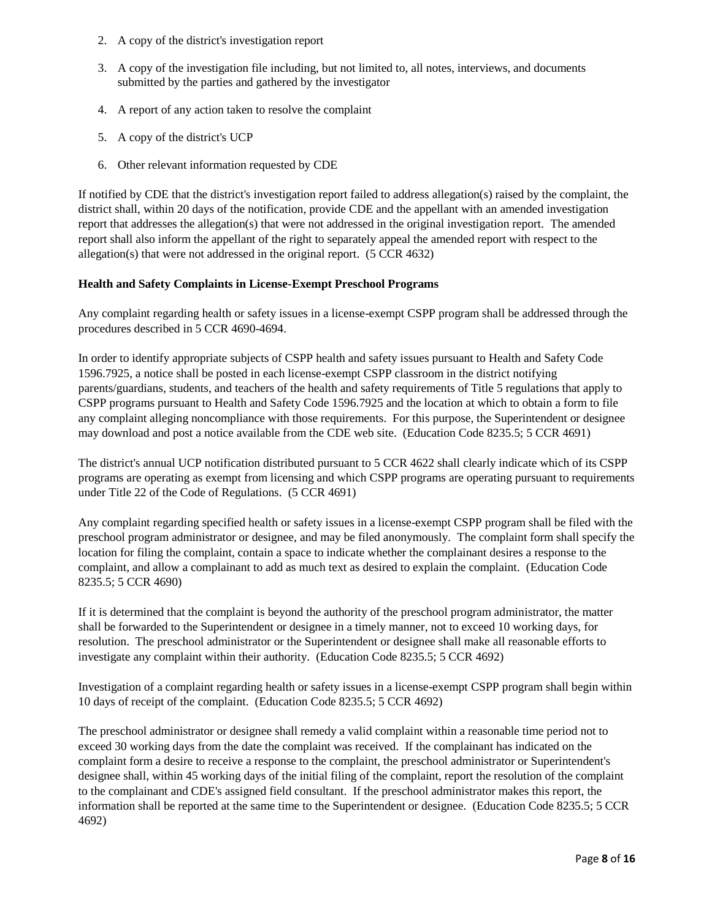- 2. A copy of the district's investigation report
- 3. A copy of the investigation file including, but not limited to, all notes, interviews, and documents submitted by the parties and gathered by the investigator
- 4. A report of any action taken to resolve the complaint
- 5. A copy of the district's UCP
- 6. Other relevant information requested by CDE

If notified by CDE that the district's investigation report failed to address allegation(s) raised by the complaint, the district shall, within 20 days of the notification, provide CDE and the appellant with an amended investigation report that addresses the allegation(s) that were not addressed in the original investigation report. The amended report shall also inform the appellant of the right to separately appeal the amended report with respect to the allegation(s) that were not addressed in the original report. (5 CCR 4632)

## **Health and Safety Complaints in License-Exempt Preschool Programs**

Any complaint regarding health or safety issues in a license-exempt CSPP program shall be addressed through the procedures described in 5 CCR 4690-4694.

In order to identify appropriate subjects of CSPP health and safety issues pursuant to Health and Safety Code 1596.7925, a notice shall be posted in each license-exempt CSPP classroom in the district notifying parents/guardians, students, and teachers of the health and safety requirements of Title 5 regulations that apply to CSPP programs pursuant to Health and Safety Code 1596.7925 and the location at which to obtain a form to file any complaint alleging noncompliance with those requirements. For this purpose, the Superintendent or designee may download and post a notice available from the CDE web site. (Education Code 8235.5; 5 CCR 4691)

The district's annual UCP notification distributed pursuant to 5 CCR 4622 shall clearly indicate which of its CSPP programs are operating as exempt from licensing and which CSPP programs are operating pursuant to requirements under Title 22 of the Code of Regulations. (5 CCR 4691)

Any complaint regarding specified health or safety issues in a license-exempt CSPP program shall be filed with the preschool program administrator or designee, and may be filed anonymously. The complaint form shall specify the location for filing the complaint, contain a space to indicate whether the complainant desires a response to the complaint, and allow a complainant to add as much text as desired to explain the complaint. (Education Code 8235.5; 5 CCR 4690)

If it is determined that the complaint is beyond the authority of the preschool program administrator, the matter shall be forwarded to the Superintendent or designee in a timely manner, not to exceed 10 working days, for resolution. The preschool administrator or the Superintendent or designee shall make all reasonable efforts to investigate any complaint within their authority. (Education Code 8235.5; 5 CCR 4692)

Investigation of a complaint regarding health or safety issues in a license-exempt CSPP program shall begin within 10 days of receipt of the complaint. (Education Code 8235.5; 5 CCR 4692)

The preschool administrator or designee shall remedy a valid complaint within a reasonable time period not to exceed 30 working days from the date the complaint was received. If the complainant has indicated on the complaint form a desire to receive a response to the complaint, the preschool administrator or Superintendent's designee shall, within 45 working days of the initial filing of the complaint, report the resolution of the complaint to the complainant and CDE's assigned field consultant. If the preschool administrator makes this report, the information shall be reported at the same time to the Superintendent or designee. (Education Code 8235.5; 5 CCR 4692)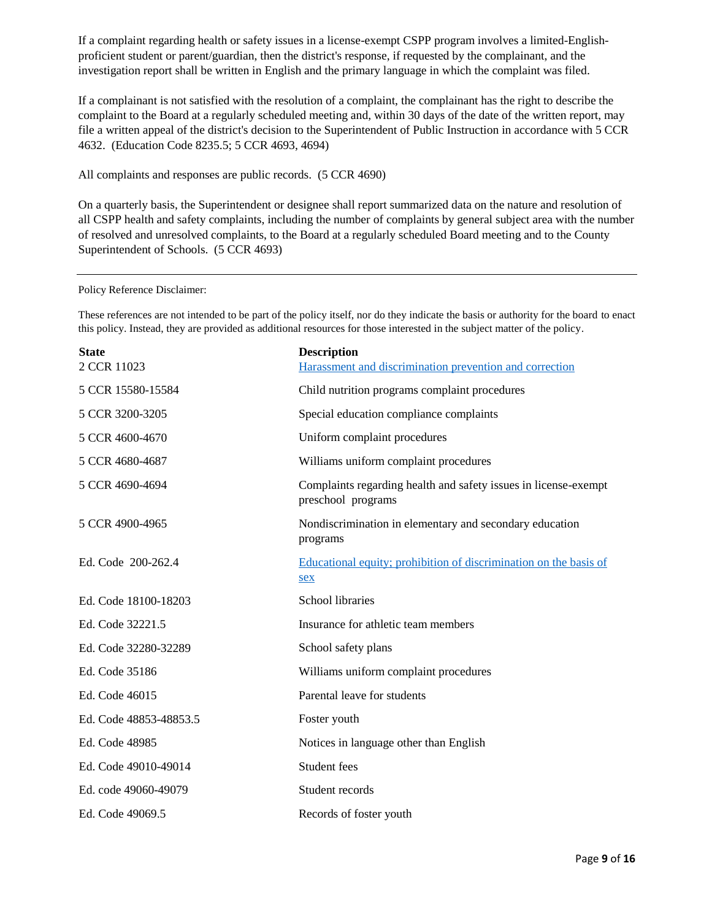If a complaint regarding health or safety issues in a license-exempt CSPP program involves a limited-Englishproficient student or parent/guardian, then the district's response, if requested by the complainant, and the investigation report shall be written in English and the primary language in which the complaint was filed.

If a complainant is not satisfied with the resolution of a complaint, the complainant has the right to describe the complaint to the Board at a regularly scheduled meeting and, within 30 days of the date of the written report, may file a written appeal of the district's decision to the Superintendent of Public Instruction in accordance with 5 CCR 4632. (Education Code 8235.5; 5 CCR 4693, 4694)

All complaints and responses are public records. (5 CCR 4690)

On a quarterly basis, the Superintendent or designee shall report summarized data on the nature and resolution of all CSPP health and safety complaints, including the number of complaints by general subject area with the number of resolved and unresolved complaints, to the Board at a regularly scheduled Board meeting and to the County Superintendent of Schools. (5 CCR 4693)

#### Policy Reference Disclaimer:

These references are not intended to be part of the policy itself, nor do they indicate the basis or authority for the board to enact this policy. Instead, they are provided as additional resources for those interested in the subject matter of the policy.

| <b>Description</b>                                                                    |
|---------------------------------------------------------------------------------------|
| Harassment and discrimination prevention and correction                               |
| Child nutrition programs complaint procedures                                         |
| Special education compliance complaints                                               |
| Uniform complaint procedures                                                          |
| Williams uniform complaint procedures                                                 |
| Complaints regarding health and safety issues in license-exempt<br>preschool programs |
| Nondiscrimination in elementary and secondary education<br>programs                   |
| Educational equity; prohibition of discrimination on the basis of<br>sex              |
| <b>School libraries</b>                                                               |
| Insurance for athletic team members                                                   |
| School safety plans                                                                   |
| Williams uniform complaint procedures                                                 |
| Parental leave for students                                                           |
| Foster youth                                                                          |
| Notices in language other than English                                                |
| Student fees                                                                          |
| Student records                                                                       |
| Records of foster youth                                                               |
|                                                                                       |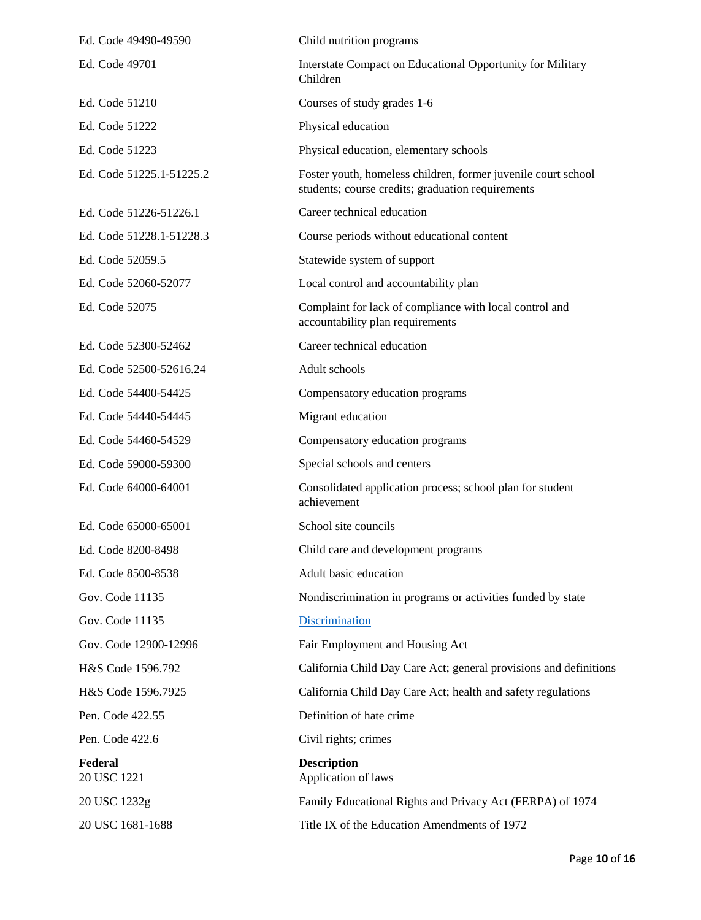| Ed. Code 49490-49590     | Child nutrition programs                                                                                           |
|--------------------------|--------------------------------------------------------------------------------------------------------------------|
| Ed. Code 49701           | Interstate Compact on Educational Opportunity for Military<br>Children                                             |
| Ed. Code 51210           | Courses of study grades 1-6                                                                                        |
| Ed. Code 51222           | Physical education                                                                                                 |
| Ed. Code 51223           | Physical education, elementary schools                                                                             |
| Ed. Code 51225.1-51225.2 | Foster youth, homeless children, former juvenile court school<br>students; course credits; graduation requirements |
| Ed. Code 51226-51226.1   | Career technical education                                                                                         |
| Ed. Code 51228.1-51228.3 | Course periods without educational content                                                                         |
| Ed. Code 52059.5         | Statewide system of support                                                                                        |
| Ed. Code 52060-52077     | Local control and accountability plan                                                                              |
| Ed. Code 52075           | Complaint for lack of compliance with local control and<br>accountability plan requirements                        |
| Ed. Code 52300-52462     | Career technical education                                                                                         |
| Ed. Code 52500-52616.24  | Adult schools                                                                                                      |
| Ed. Code 54400-54425     | Compensatory education programs                                                                                    |
| Ed. Code 54440-54445     | Migrant education                                                                                                  |
| Ed. Code 54460-54529     | Compensatory education programs                                                                                    |
| Ed. Code 59000-59300     | Special schools and centers                                                                                        |
| Ed. Code 64000-64001     | Consolidated application process; school plan for student<br>achievement                                           |
| Ed. Code 65000-65001     | School site councils                                                                                               |
| Ed. Code 8200-8498       | Child care and development programs                                                                                |
| Ed. Code 8500-8538       | Adult basic education                                                                                              |
| Gov. Code 11135          | Nondiscrimination in programs or activities funded by state                                                        |
| Gov. Code 11135          | Discrimination                                                                                                     |
| Gov. Code 12900-12996    | Fair Employment and Housing Act                                                                                    |
| H&S Code 1596.792        | California Child Day Care Act; general provisions and definitions                                                  |
| H&S Code 1596.7925       | California Child Day Care Act; health and safety regulations                                                       |
| Pen. Code 422.55         | Definition of hate crime                                                                                           |
| Pen. Code 422.6          | Civil rights; crimes                                                                                               |
| Federal<br>20 USC 1221   | <b>Description</b><br>Application of laws                                                                          |
| 20 USC 1232g             | Family Educational Rights and Privacy Act (FERPA) of 1974                                                          |
| 20 USC 1681-1688         | Title IX of the Education Amendments of 1972                                                                       |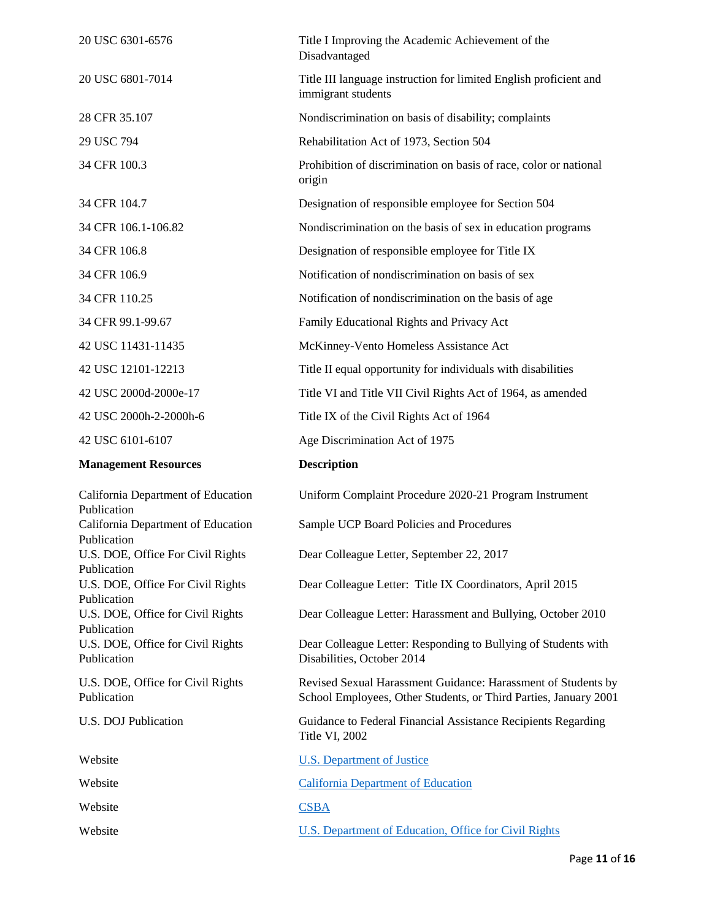| 20 USC 6301-6576                                                | Title I Improving the Academic Achievement of the<br>Disadvantaged                                                                |
|-----------------------------------------------------------------|-----------------------------------------------------------------------------------------------------------------------------------|
| 20 USC 6801-7014                                                | Title III language instruction for limited English proficient and<br>immigrant students                                           |
| 28 CFR 35.107                                                   | Nondiscrimination on basis of disability; complaints                                                                              |
| 29 USC 794                                                      | Rehabilitation Act of 1973, Section 504                                                                                           |
| 34 CFR 100.3                                                    | Prohibition of discrimination on basis of race, color or national<br>origin                                                       |
| 34 CFR 104.7                                                    | Designation of responsible employee for Section 504                                                                               |
| 34 CFR 106.1-106.82                                             | Nondiscrimination on the basis of sex in education programs                                                                       |
| 34 CFR 106.8                                                    | Designation of responsible employee for Title IX                                                                                  |
| 34 CFR 106.9                                                    | Notification of nondiscrimination on basis of sex                                                                                 |
| 34 CFR 110.25                                                   | Notification of nondiscrimination on the basis of age                                                                             |
| 34 CFR 99.1-99.67                                               | Family Educational Rights and Privacy Act                                                                                         |
| 42 USC 11431-11435                                              | McKinney-Vento Homeless Assistance Act                                                                                            |
| 42 USC 12101-12213                                              | Title II equal opportunity for individuals with disabilities                                                                      |
| 42 USC 2000d-2000e-17                                           | Title VI and Title VII Civil Rights Act of 1964, as amended                                                                       |
| 42 USC 2000h-2-2000h-6                                          | Title IX of the Civil Rights Act of 1964                                                                                          |
|                                                                 |                                                                                                                                   |
| 42 USC 6101-6107                                                | Age Discrimination Act of 1975                                                                                                    |
| <b>Management Resources</b>                                     | <b>Description</b>                                                                                                                |
| California Department of Education                              | Uniform Complaint Procedure 2020-21 Program Instrument                                                                            |
| Publication<br>California Department of Education               | Sample UCP Board Policies and Procedures                                                                                          |
| Publication<br>U.S. DOE, Office For Civil Rights                | Dear Colleague Letter, September 22, 2017                                                                                         |
| Publication<br>U.S. DOE, Office For Civil Rights                | Dear Colleague Letter: Title IX Coordinators, April 2015                                                                          |
| Publication<br>U.S. DOE, Office for Civil Rights                | Dear Colleague Letter: Harassment and Bullying, October 2010                                                                      |
| Publication<br>U.S. DOE, Office for Civil Rights<br>Publication | Dear Colleague Letter: Responding to Bullying of Students with<br>Disabilities, October 2014                                      |
| U.S. DOE, Office for Civil Rights<br>Publication                | Revised Sexual Harassment Guidance: Harassment of Students by<br>School Employees, Other Students, or Third Parties, January 2001 |
| U.S. DOJ Publication                                            | Guidance to Federal Financial Assistance Recipients Regarding<br>Title VI, 2002                                                   |
| Website                                                         | <b>U.S. Department of Justice</b>                                                                                                 |
| Website                                                         | <b>California Department of Education</b>                                                                                         |
| Website                                                         | <b>CSBA</b>                                                                                                                       |
| Website                                                         | <b>U.S. Department of Education, Office for Civil Rights</b>                                                                      |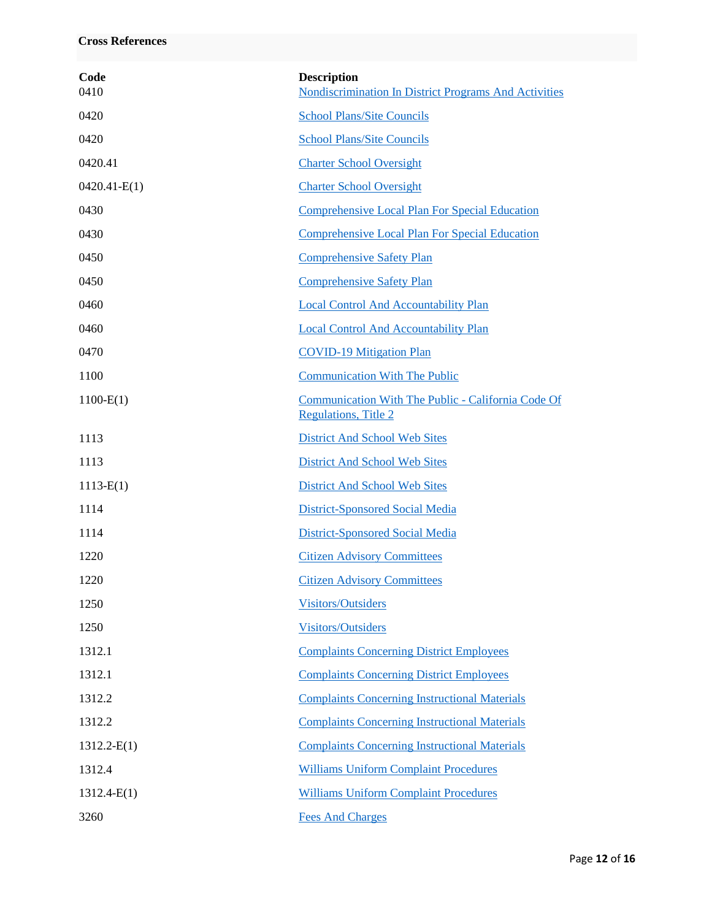| Code<br>0410   | <b>Description</b><br><b>Nondiscrimination In District Programs And Activities</b> |
|----------------|------------------------------------------------------------------------------------|
| 0420           | <b>School Plans/Site Councils</b>                                                  |
| 0420           | <b>School Plans/Site Councils</b>                                                  |
| 0420.41        | <b>Charter School Oversight</b>                                                    |
| $0420.41-E(1)$ | <b>Charter School Oversight</b>                                                    |
| 0430           | <b>Comprehensive Local Plan For Special Education</b>                              |
| 0430           | <b>Comprehensive Local Plan For Special Education</b>                              |
| 0450           | <b>Comprehensive Safety Plan</b>                                                   |
| 0450           | <b>Comprehensive Safety Plan</b>                                                   |
| 0460           | <b>Local Control And Accountability Plan</b>                                       |
| 0460           | <b>Local Control And Accountability Plan</b>                                       |
| 0470           | <b>COVID-19 Mitigation Plan</b>                                                    |
| 1100           | <b>Communication With The Public</b>                                               |
| $1100-E(1)$    | Communication With The Public - California Code Of<br><b>Regulations, Title 2</b>  |
| 1113           | <b>District And School Web Sites</b>                                               |
| 1113           | <b>District And School Web Sites</b>                                               |
| $1113-E(1)$    | <b>District And School Web Sites</b>                                               |
| 1114           | District-Sponsored Social Media                                                    |
| 1114           | District-Sponsored Social Media                                                    |
| 1220           | <b>Citizen Advisory Committees</b>                                                 |
| 1220           | <b>Citizen Advisory Committees</b>                                                 |
| 1250           | <b>Visitors/Outsiders</b>                                                          |
| 1250           | <b>Visitors/Outsiders</b>                                                          |
| 1312.1         | <b>Complaints Concerning District Employees</b>                                    |
| 1312.1         | <b>Complaints Concerning District Employees</b>                                    |
| 1312.2         | <b>Complaints Concerning Instructional Materials</b>                               |
| 1312.2         | <b>Complaints Concerning Instructional Materials</b>                               |
| $1312.2-E(1)$  | <b>Complaints Concerning Instructional Materials</b>                               |
| 1312.4         | <b>Williams Uniform Complaint Procedures</b>                                       |
| $1312.4-E(1)$  | <b>Williams Uniform Complaint Procedures</b>                                       |
| 3260           | <b>Fees And Charges</b>                                                            |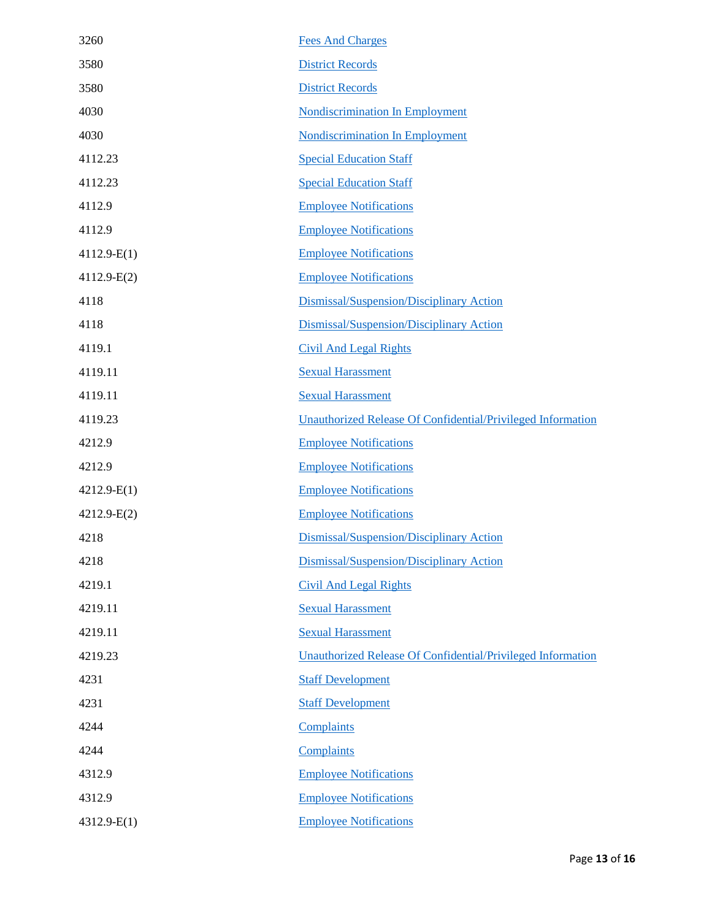| 3260          | <b>Fees And Charges</b>                                            |
|---------------|--------------------------------------------------------------------|
| 3580          | <b>District Records</b>                                            |
| 3580          | <b>District Records</b>                                            |
| 4030          | <b>Nondiscrimination In Employment</b>                             |
| 4030          | <b>Nondiscrimination In Employment</b>                             |
| 4112.23       | <b>Special Education Staff</b>                                     |
| 4112.23       | <b>Special Education Staff</b>                                     |
| 4112.9        | <b>Employee Notifications</b>                                      |
| 4112.9        | <b>Employee Notifications</b>                                      |
| $4112.9-E(1)$ | <b>Employee Notifications</b>                                      |
| $4112.9-E(2)$ | <b>Employee Notifications</b>                                      |
| 4118          | Dismissal/Suspension/Disciplinary Action                           |
| 4118          | Dismissal/Suspension/Disciplinary Action                           |
| 4119.1        | <b>Civil And Legal Rights</b>                                      |
| 4119.11       | <b>Sexual Harassment</b>                                           |
| 4119.11       | <b>Sexual Harassment</b>                                           |
| 4119.23       | Unauthorized Release Of Confidential/Privileged Information        |
| 4212.9        | <b>Employee Notifications</b>                                      |
| 4212.9        | <b>Employee Notifications</b>                                      |
| $4212.9-E(1)$ | <b>Employee Notifications</b>                                      |
| $4212.9-E(2)$ | <b>Employee Notifications</b>                                      |
| 4218          | Dismissal/Suspension/Disciplinary Action                           |
| 4218          | Dismissal/Suspension/Disciplinary Action                           |
| 4219.1        | <b>Civil And Legal Rights</b>                                      |
| 4219.11       | <b>Sexual Harassment</b>                                           |
| 4219.11       | <b>Sexual Harassment</b>                                           |
| 4219.23       | <b>Unauthorized Release Of Confidential/Privileged Information</b> |
| 4231          | <b>Staff Development</b>                                           |
| 4231          | <b>Staff Development</b>                                           |
| 4244          | Complaints                                                         |
| 4244          | Complaints                                                         |
| 4312.9        | <b>Employee Notifications</b>                                      |
| 4312.9        | <b>Employee Notifications</b>                                      |
| $4312.9-E(1)$ | <b>Employee Notifications</b>                                      |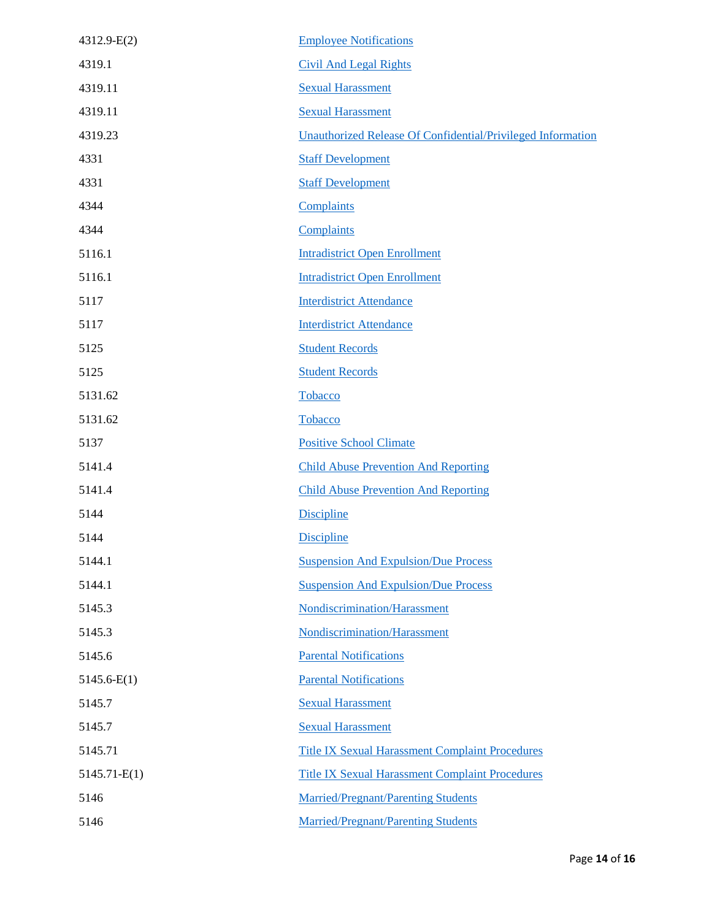| 4312.9-E(2)    | <b>Employee Notifications</b>                               |
|----------------|-------------------------------------------------------------|
| 4319.1         | <b>Civil And Legal Rights</b>                               |
| 4319.11        | <b>Sexual Harassment</b>                                    |
| 4319.11        | <b>Sexual Harassment</b>                                    |
| 4319.23        | Unauthorized Release Of Confidential/Privileged Information |
| 4331           | <b>Staff Development</b>                                    |
| 4331           | <b>Staff Development</b>                                    |
| 4344           | Complaints                                                  |
| 4344           | Complaints                                                  |
| 5116.1         | <b>Intradistrict Open Enrollment</b>                        |
| 5116.1         | <b>Intradistrict Open Enrollment</b>                        |
| 5117           | <b>Interdistrict Attendance</b>                             |
| 5117           | <b>Interdistrict Attendance</b>                             |
| 5125           | <b>Student Records</b>                                      |
| 5125           | <b>Student Records</b>                                      |
| 5131.62        | Tobacco                                                     |
| 5131.62        | Tobacco                                                     |
| 5137           | <b>Positive School Climate</b>                              |
| 5141.4         | <b>Child Abuse Prevention And Reporting</b>                 |
| 5141.4         | <b>Child Abuse Prevention And Reporting</b>                 |
| 5144           | <b>Discipline</b>                                           |
| 5144           | <b>Discipline</b>                                           |
| 5144.1         | <b>Suspension And Expulsion/Due Process</b>                 |
| 5144.1         | <b>Suspension And Expulsion/Due Process</b>                 |
| 5145.3         | Nondiscrimination/Harassment                                |
| 5145.3         | Nondiscrimination/Harassment                                |
| 5145.6         | <b>Parental Notifications</b>                               |
| $5145.6-E(1)$  | <b>Parental Notifications</b>                               |
| 5145.7         | <b>Sexual Harassment</b>                                    |
| 5145.7         | <b>Sexual Harassment</b>                                    |
| 5145.71        | <b>Title IX Sexual Harassment Complaint Procedures</b>      |
| $5145.71-E(1)$ | <b>Title IX Sexual Harassment Complaint Procedures</b>      |
| 5146           | <b>Married/Pregnant/Parenting Students</b>                  |
| 5146           | <b>Married/Pregnant/Parenting Students</b>                  |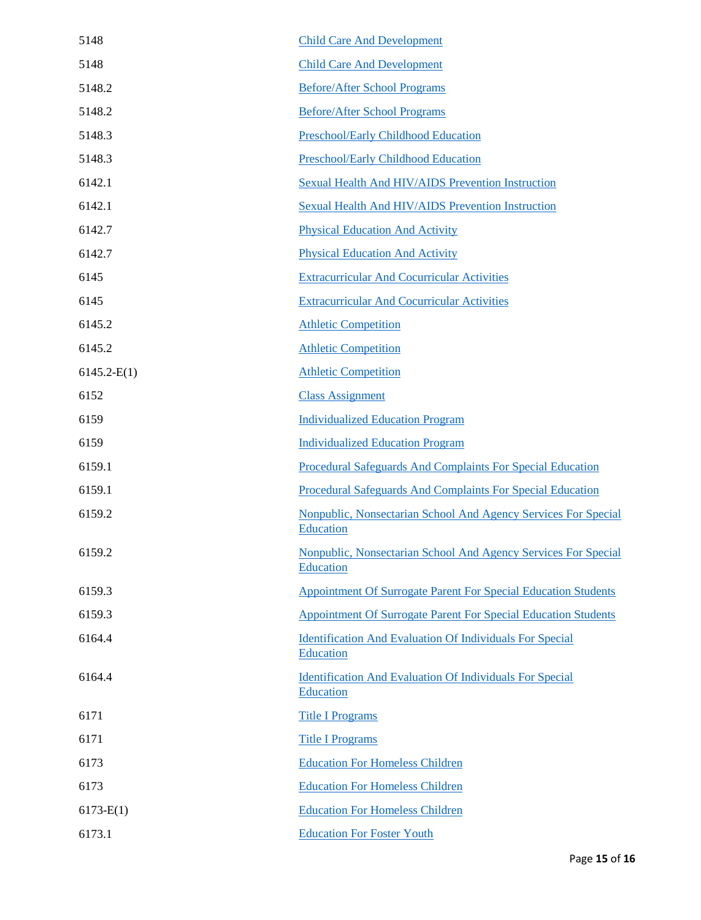| 5148          | <b>Child Care And Development</b>                                            |
|---------------|------------------------------------------------------------------------------|
| 5148          | <b>Child Care And Development</b>                                            |
| 5148.2        | <b>Before/After School Programs</b>                                          |
| 5148.2        | <b>Before/After School Programs</b>                                          |
| 5148.3        | <b>Preschool/Early Childhood Education</b>                                   |
| 5148.3        | <b>Preschool/Early Childhood Education</b>                                   |
| 6142.1        | <b>Sexual Health And HIV/AIDS Prevention Instruction</b>                     |
| 6142.1        | <b>Sexual Health And HIV/AIDS Prevention Instruction</b>                     |
| 6142.7        | <b>Physical Education And Activity</b>                                       |
| 6142.7        | <b>Physical Education And Activity</b>                                       |
| 6145          | <b>Extracurricular And Cocurricular Activities</b>                           |
| 6145          | <b>Extracurricular And Cocurricular Activities</b>                           |
| 6145.2        | <b>Athletic Competition</b>                                                  |
| 6145.2        | <b>Athletic Competition</b>                                                  |
| $6145.2-E(1)$ | <b>Athletic Competition</b>                                                  |
| 6152          | <b>Class Assignment</b>                                                      |
| 6159          | <b>Individualized Education Program</b>                                      |
| 6159          | <b>Individualized Education Program</b>                                      |
| 6159.1        | Procedural Safeguards And Complaints For Special Education                   |
| 6159.1        | Procedural Safeguards And Complaints For Special Education                   |
| 6159.2        | Nonpublic, Nonsectarian School And Agency Services For Special<br>Education  |
| 6159.2        | Nonpublic, Nonsectarian School And Agency Services For Special<br>Education  |
| 6159.3        | <b>Appointment Of Surrogate Parent For Special Education Students</b>        |
| 6159.3        | <b>Appointment Of Surrogate Parent For Special Education Students</b>        |
| 6164.4        | <b>Identification And Evaluation Of Individuals For Special</b><br>Education |
| 6164.4        | <b>Identification And Evaluation Of Individuals For Special</b><br>Education |
| 6171          | <b>Title I Programs</b>                                                      |
| 6171          | <b>Title I Programs</b>                                                      |
| 6173          | <b>Education For Homeless Children</b>                                       |
| 6173          | <b>Education For Homeless Children</b>                                       |
| $6173-E(1)$   | <b>Education For Homeless Children</b>                                       |
| 6173.1        | <b>Education For Foster Youth</b>                                            |